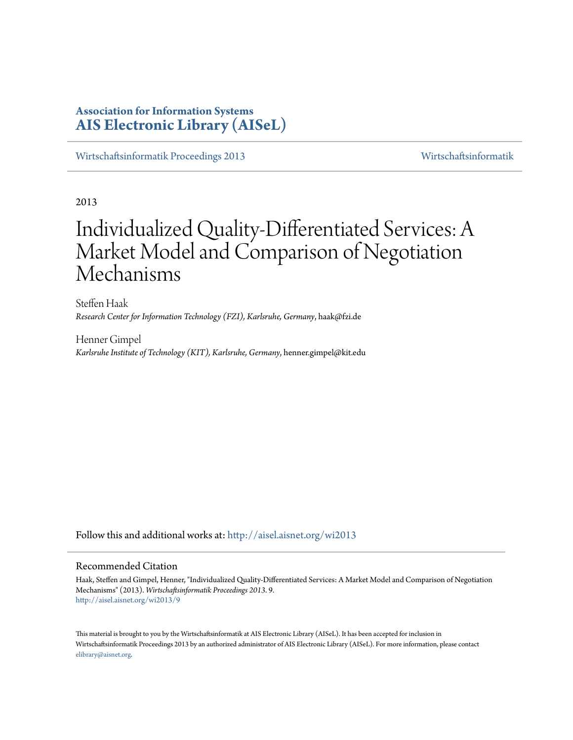# **Association for Information Systems [AIS Electronic Library \(AISeL\)](http://aisel.aisnet.org?utm_source=aisel.aisnet.org%2Fwi2013%2F9&utm_medium=PDF&utm_campaign=PDFCoverPages)**

[Wirtschaftsinformatik Proceedings 2013](http://aisel.aisnet.org/wi2013?utm_source=aisel.aisnet.org%2Fwi2013%2F9&utm_medium=PDF&utm_campaign=PDFCoverPages) [Wirtschaftsinformatik](http://aisel.aisnet.org/wi?utm_source=aisel.aisnet.org%2Fwi2013%2F9&utm_medium=PDF&utm_campaign=PDFCoverPages)

2013

# Individualized Quality-Differentiated Services: A Market Model and Comparison of Negotiation Mechanisms

Steffen Haak *Research Center for Information Technology (FZI), Karlsruhe, Germany*, haak@fzi.de

Henner Gimpel *Karlsruhe Institute of Technology (KIT), Karlsruhe, Germany*, henner.gimpel@kit.edu

Follow this and additional works at: [http://aisel.aisnet.org/wi2013](http://aisel.aisnet.org/wi2013?utm_source=aisel.aisnet.org%2Fwi2013%2F9&utm_medium=PDF&utm_campaign=PDFCoverPages)

## Recommended Citation

Haak, Steffen and Gimpel, Henner, "Individualized Quality-Differentiated Services: A Market Model and Comparison of Negotiation Mechanisms" (2013). *Wirtschaftsinformatik Proceedings 2013*. 9. [http://aisel.aisnet.org/wi2013/9](http://aisel.aisnet.org/wi2013/9?utm_source=aisel.aisnet.org%2Fwi2013%2F9&utm_medium=PDF&utm_campaign=PDFCoverPages)

This material is brought to you by the Wirtschaftsinformatik at AIS Electronic Library (AISeL). It has been accepted for inclusion in Wirtschaftsinformatik Proceedings 2013 by an authorized administrator of AIS Electronic Library (AISeL). For more information, please contact [elibrary@aisnet.org.](mailto:elibrary@aisnet.org%3E)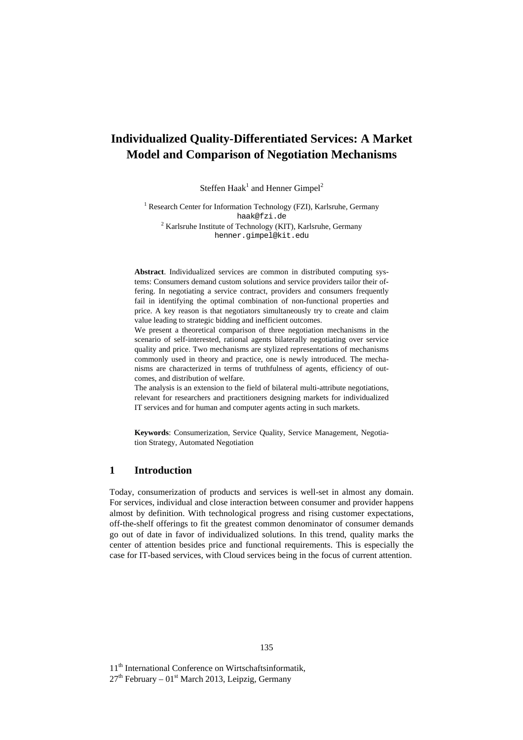## **Individualized Quality-Differentiated Services: A Market Model and Comparison of Negotiation Mechanisms**

Steffen Haak<sup>1</sup> and Henner Gimpel<sup>2</sup>

<sup>1</sup> Research Center for Information Technology (FZI), Karlsruhe, Germany haak@fzi.de <sup>2</sup> Karlsruhe Institute of Technology (KIT), Karlsruhe, Germany henner.gimpel@kit.edu

**Abstract**. Individualized services are common in distributed computing systems: Consumers demand custom solutions and service providers tailor their offering. In negotiating a service contract, providers and consumers frequently fail in identifying the optimal combination of non-functional properties and price. A key reason is that negotiators simultaneously try to create and claim value leading to strategic bidding and inefficient outcomes.

We present a theoretical comparison of three negotiation mechanisms in the scenario of self-interested, rational agents bilaterally negotiating over service quality and price. Two mechanisms are stylized representations of mechanisms commonly used in theory and practice, one is newly introduced. The mechanisms are characterized in terms of truthfulness of agents, efficiency of outcomes, and distribution of welfare.

The analysis is an extension to the field of bilateral multi-attribute negotiations, relevant for researchers and practitioners designing markets for individualized IT services and for human and computer agents acting in such markets.

**Keywords**: Consumerization, Service Quality, Service Management, Negotiation Strategy, Automated Negotiation

## **1 Introduction**

Today, consumerization of products and services is well-set in almost any domain. For services, individual and close interaction between consumer and provider happens almost by definition. With technological progress and rising customer expectations, off-the-shelf offerings to fit the greatest common denominator of consumer demands go out of date in favor of individualized solutions. In this trend, quality marks the center of attention besides price and functional requirements. This is especially the case for IT-based services, with Cloud services being in the focus of current attention.

11<sup>th</sup> International Conference on Wirtschaftsinformatik,

 $27<sup>th</sup>$  February – 01<sup>st</sup> March 2013, Leipzig, Germany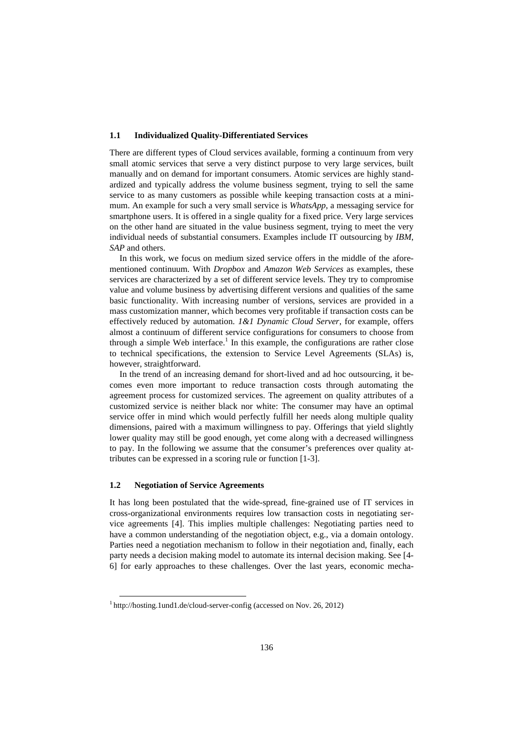#### **1.1 Individualized Quality-Differentiated Services**

There are different types of Cloud services available, forming a continuum from very small atomic services that serve a very distinct purpose to very large services, built manually and on demand for important consumers. Atomic services are highly standardized and typically address the volume business segment, trying to sell the same service to as many customers as possible while keeping transaction costs at a minimum. An example for such a very small service is *WhatsApp*, a messaging service for smartphone users. It is offered in a single quality for a fixed price. Very large services on the other hand are situated in the value business segment, trying to meet the very individual needs of substantial consumers. Examples include IT outsourcing by *IBM*, *SAP* and others.

In this work, we focus on medium sized service offers in the middle of the aforementioned continuum. With *Dropbox* and *Amazon Web Services* as examples, these services are characterized by a set of different service levels. They try to compromise value and volume business by advertising different versions and qualities of the same basic functionality. With increasing number of versions, services are provided in a mass customization manner, which becomes very profitable if transaction costs can be effectively reduced by automation. *1&1 Dynamic Cloud Server*, for example, offers almost a continuum of different service configurations for consumers to choose from through a simple Web interface.<sup>1</sup> In this example, the configurations are rather close to technical specifications, the extension to Service Level Agreements (SLAs) is, however, straightforward.

In the trend of an increasing demand for short-lived and ad hoc outsourcing, it becomes even more important to reduce transaction costs through automating the agreement process for customized services. The agreement on quality attributes of a customized service is neither black nor white: The consumer may have an optimal service offer in mind which would perfectly fulfill her needs along multiple quality dimensions, paired with a maximum willingness to pay. Offerings that yield slightly lower quality may still be good enough, yet come along with a decreased willingness to pay. In the following we assume that the consumer's preferences over quality attributes can be expressed in a scoring rule or function [1-3].

### **1.2 Negotiation of Service Agreements**

-

It has long been postulated that the wide-spread, fine-grained use of IT services in cross-organizational environments requires low transaction costs in negotiating service agreements [4]. This implies multiple challenges: Negotiating parties need to have a common understanding of the negotiation object, e.g., via a domain ontology. Parties need a negotiation mechanism to follow in their negotiation and, finally, each party needs a decision making model to automate its internal decision making. See [4- 6] for early approaches to these challenges. Over the last years, economic mecha-

<sup>&</sup>lt;sup>1</sup> http://hosting.1und1.de/cloud-server-config (accessed on Nov. 26, 2012)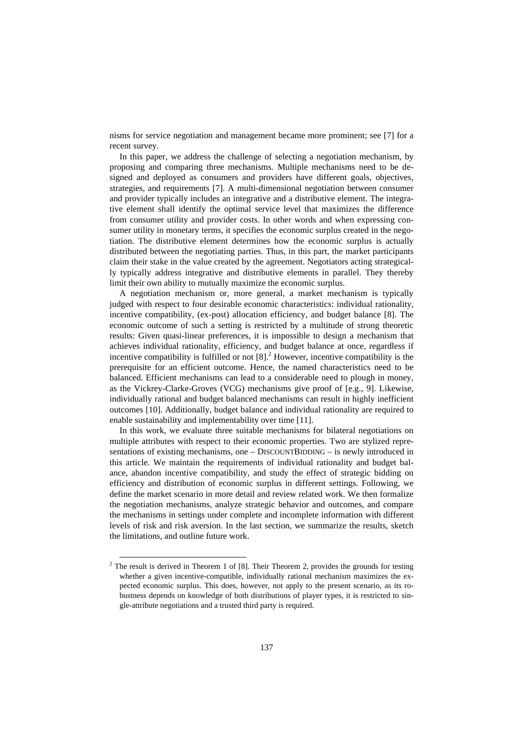nisms for service negotiation and management became more prominent; see [7] for a recent survey.

In this paper, we address the challenge of selecting a negotiation mechanism, by proposing and comparing three mechanisms. Multiple mechanisms need to be designed and deployed as consumers and providers have different goals, objectives, strategies, and requirements [7]. A multi-dimensional negotiation between consumer and provider typically includes an integrative and a distributive element. The integrative element shall identify the optimal service level that maximizes the difference from consumer utility and provider costs. In other words and when expressing consumer utility in monetary terms, it specifies the economic surplus created in the negotiation. The distributive element determines how the economic surplus is actually distributed between the negotiating parties. Thus, in this part, the market participants claim their stake in the value created by the agreement. Negotiators acting strategically typically address integrative and distributive elements in parallel. They thereby limit their own ability to mutually maximize the economic surplus.

A negotiation mechanism or, more general, a market mechanism is typically judged with respect to four desirable economic characteristics: individual rationality, incentive compatibility, (ex-post) allocation efficiency, and budget balance [8]. The economic outcome of such a setting is restricted by a multitude of strong theoretic results: Given quasi-linear preferences, it is impossible to design a mechanism that achieves individual rationality, efficiency, and budget balance at once, regardless if incentive compatibility is fulfilled or not  $[8]$ <sup>2</sup>. However, incentive compatibility is the prerequisite for an efficient outcome. Hence, the named characteristics need to be balanced. Efficient mechanisms can lead to a considerable need to plough in money, as the Vickrey-Clarke-Groves (VCG) mechanisms give proof of [e.g., 9]. Likewise, individually rational and budget balanced mechanisms can result in highly inefficient outcomes [10]. Additionally, budget balance and individual rationality are required to enable sustainability and implementability over time [11].

In this work, we evaluate three suitable mechanisms for bilateral negotiations on multiple attributes with respect to their economic properties. Two are stylized representations of existing mechanisms, one – DISCOUNTBIDDING – is newly introduced in this article. We maintain the requirements of individual rationality and budget balance, abandon incentive compatibility, and study the effect of strategic bidding on efficiency and distribution of economic surplus in different settings. Following, we define the market scenario in more detail and review related work. We then formalize the negotiation mechanisms, analyze strategic behavior and outcomes, and compare the mechanisms in settings under complete and incomplete information with different levels of risk and risk aversion. In the last section, we summarize the results, sketch the limitations, and outline future work.

-

 $2^2$  The result is derived in Theorem 1 of [8]. Their Theorem 2, provides the grounds for testing whether a given incentive-compatible, individually rational mechanism maximizes the expected economic surplus. This does, however, not apply to the present scenario, as its robustness depends on knowledge of both distributions of player types, it is restricted to single-attribute negotiations and a trusted third party is required.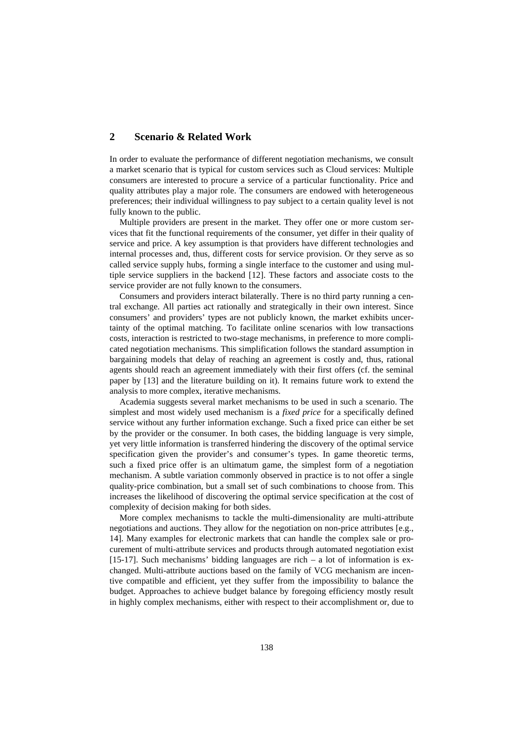## **2 Scenario & Related Work**

In order to evaluate the performance of different negotiation mechanisms, we consult a market scenario that is typical for custom services such as Cloud services: Multiple consumers are interested to procure a service of a particular functionality. Price and quality attributes play a major role. The consumers are endowed with heterogeneous preferences; their individual willingness to pay subject to a certain quality level is not fully known to the public.

Multiple providers are present in the market. They offer one or more custom services that fit the functional requirements of the consumer, yet differ in their quality of service and price. A key assumption is that providers have different technologies and internal processes and, thus, different costs for service provision. Or they serve as so called service supply hubs, forming a single interface to the customer and using multiple service suppliers in the backend [12]. These factors and associate costs to the service provider are not fully known to the consumers.

Consumers and providers interact bilaterally. There is no third party running a central exchange. All parties act rationally and strategically in their own interest. Since consumers' and providers' types are not publicly known, the market exhibits uncertainty of the optimal matching. To facilitate online scenarios with low transactions costs, interaction is restricted to two-stage mechanisms, in preference to more complicated negotiation mechanisms. This simplification follows the standard assumption in bargaining models that delay of reaching an agreement is costly and, thus, rational agents should reach an agreement immediately with their first offers (cf. the seminal paper by [13] and the literature building on it). It remains future work to extend the analysis to more complex, iterative mechanisms.

Academia suggests several market mechanisms to be used in such a scenario. The simplest and most widely used mechanism is a *fixed price* for a specifically defined service without any further information exchange. Such a fixed price can either be set by the provider or the consumer. In both cases, the bidding language is very simple, yet very little information is transferred hindering the discovery of the optimal service specification given the provider's and consumer's types. In game theoretic terms, such a fixed price offer is an ultimatum game, the simplest form of a negotiation mechanism. A subtle variation commonly observed in practice is to not offer a single quality-price combination, but a small set of such combinations to choose from. This increases the likelihood of discovering the optimal service specification at the cost of complexity of decision making for both sides.

More complex mechanisms to tackle the multi-dimensionality are multi-attribute negotiations and auctions. They allow for the negotiation on non-price attributes [e.g., 14]. Many examples for electronic markets that can handle the complex sale or procurement of multi-attribute services and products through automated negotiation exist [15-17]. Such mechanisms' bidding languages are rich  $-$  a lot of information is exchanged. Multi-attribute auctions based on the family of VCG mechanism are incentive compatible and efficient, yet they suffer from the impossibility to balance the budget. Approaches to achieve budget balance by foregoing efficiency mostly result in highly complex mechanisms, either with respect to their accomplishment or, due to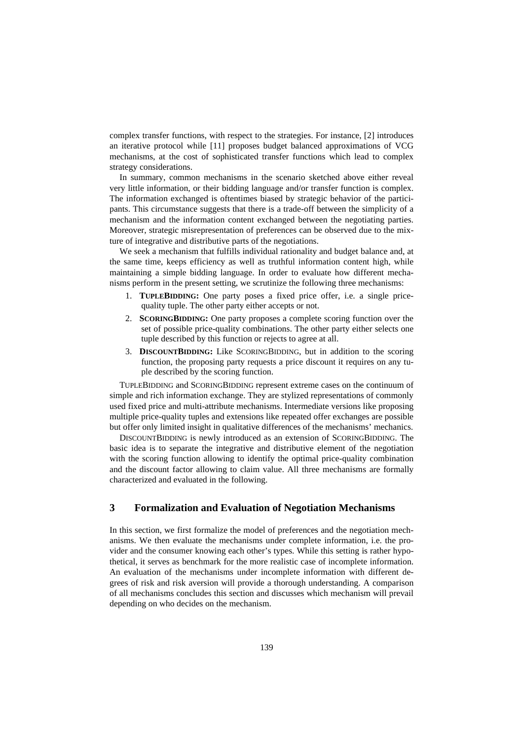complex transfer functions, with respect to the strategies. For instance, [2] introduces an iterative protocol while [11] proposes budget balanced approximations of VCG mechanisms, at the cost of sophisticated transfer functions which lead to complex strategy considerations.

In summary, common mechanisms in the scenario sketched above either reveal very little information, or their bidding language and/or transfer function is complex. The information exchanged is oftentimes biased by strategic behavior of the participants. This circumstance suggests that there is a trade-off between the simplicity of a mechanism and the information content exchanged between the negotiating parties. Moreover, strategic misrepresentation of preferences can be observed due to the mixture of integrative and distributive parts of the negotiations.

We seek a mechanism that fulfills individual rationality and budget balance and, at the same time, keeps efficiency as well as truthful information content high, while maintaining a simple bidding language. In order to evaluate how different mechanisms perform in the present setting, we scrutinize the following three mechanisms:

- 1. **TUPLEBIDDING:** One party poses a fixed price offer, i.e. a single pricequality tuple. The other party either accepts or not.
- 2. **SCORINGBIDDING:** One party proposes a complete scoring function over the set of possible price-quality combinations. The other party either selects one tuple described by this function or rejects to agree at all.
- 3. **DISCOUNTBIDDING:** Like SCORINGBIDDING, but in addition to the scoring function, the proposing party requests a price discount it requires on any tuple described by the scoring function.

TUPLEBIDDING and SCORINGBIDDING represent extreme cases on the continuum of simple and rich information exchange. They are stylized representations of commonly used fixed price and multi-attribute mechanisms. Intermediate versions like proposing multiple price-quality tuples and extensions like repeated offer exchanges are possible but offer only limited insight in qualitative differences of the mechanisms' mechanics.

DISCOUNTBIDDING is newly introduced as an extension of SCORINGBIDDING. The basic idea is to separate the integrative and distributive element of the negotiation with the scoring function allowing to identify the optimal price-quality combination and the discount factor allowing to claim value. All three mechanisms are formally characterized and evaluated in the following.

## **3 Formalization and Evaluation of Negotiation Mechanisms**

In this section, we first formalize the model of preferences and the negotiation mechanisms. We then evaluate the mechanisms under complete information, i.e. the provider and the consumer knowing each other's types. While this setting is rather hypothetical, it serves as benchmark for the more realistic case of incomplete information. An evaluation of the mechanisms under incomplete information with different degrees of risk and risk aversion will provide a thorough understanding. A comparison of all mechanisms concludes this section and discusses which mechanism will prevail depending on who decides on the mechanism.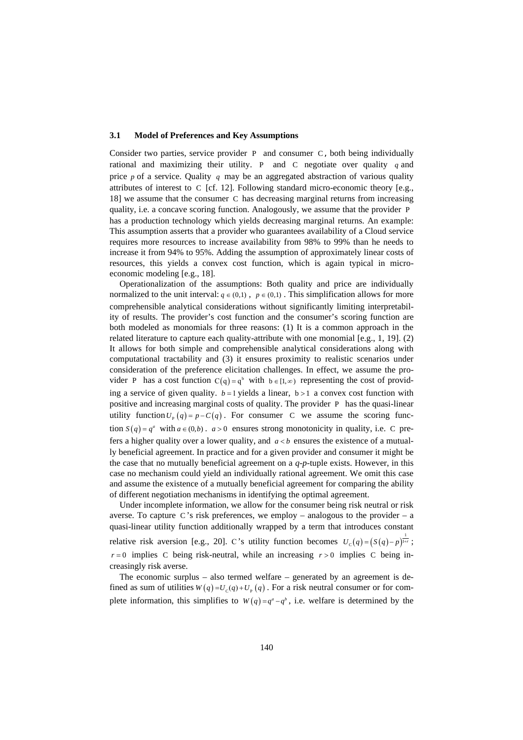#### **3.1 Model of Preferences and Key Assumptions**

Consider two parties, service provider P and consumer C *,* both being individually rational and maximizing their utility. P and C negotiate over quality *q* and price *p* of a service. Quality *q* may be an aggregated abstraction of various quality attributes of interest to C [cf. 12]. Following standard micro-economic theory [e.g., 18] we assume that the consumer C has decreasing marginal returns from increasing quality, i.e. a concave scoring function. Analogously, we assume that the provider P has a production technology which yields decreasing marginal returns. An example: This assumption asserts that a provider who guarantees availability of a Cloud service requires more resources to increase availability from 98% to 99% than he needs to increase it from 94% to 95%. Adding the assumption of approximately linear costs of resources, this yields a convex cost function, which is again typical in microeconomic modeling [e.g., 18].

Operationalization of the assumptions: Both quality and price are individually normalized to the unit interval:  $q \in (0,1)$ ,  $p \in (0,1)$ . This simplification allows for more comprehensible analytical considerations without significantly limiting interpretability of results. The provider's cost function and the consumer's scoring function are both modeled as monomials for three reasons: (1) It is a common approach in the related literature to capture each quality-attribute with one monomial [e.g., 1, 19]. (2) It allows for both simple and comprehensible analytical considerations along with computational tractability and (3) it ensures proximity to realistic scenarios under consideration of the preference elicitation challenges. In effect, we assume the provider P has a cost function  $C(q) = q^b$  with  $b \in [1, \infty)$  representing the cost of providing a service of given quality.  $b = 1$  yields a linear,  $b > 1$  a convex cost function with positive and increasing marginal costs of quality. The provider P has the quasi-linear utility function  $U_{\text{P}}(q) = p - C(q)$ . For consumer C we assume the scoring function  $S(q) = q^a$  with  $a \in (0, b)$ .  $a > 0$  ensures strong monotonicity in quality, i.e. C prefers a higher quality over a lower quality, and  $a < b$  ensures the existence of a mutually beneficial agreement. In practice and for a given provider and consumer it might be the case that no mutually beneficial agreement on a  $q$ - $p$ -tuple exists. However, in this case no mechanism could yield an individually rational agreement. We omit this case and assume the existence of a mutually beneficial agreement for comparing the ability of different negotiation mechanisms in identifying the optimal agreement.

Under incomplete information, we allow for the consumer being risk neutral or risk averse. To capture C's risk preferences, we employ – analogous to the provider – a quasi-linear utility function additionally wrapped by a term that introduces constant relative risk aversion [e.g., 20]. C's utility function becomes  $U_c(q) = (S(q) - p)^{\frac{1}{1+r}}$ ;  $r = 0$  implies C being risk-neutral, while an increasing  $r > 0$  implies C being increasingly risk averse.

The economic surplus – also termed welfare – generated by an agreement is defined as sum of utilities  $W(q) = U_c(q) + U_p(q)$ . For a risk neutral consumer or for complete information, this simplifies to  $W(q) = q^a - q^b$ , i.e. welfare is determined by the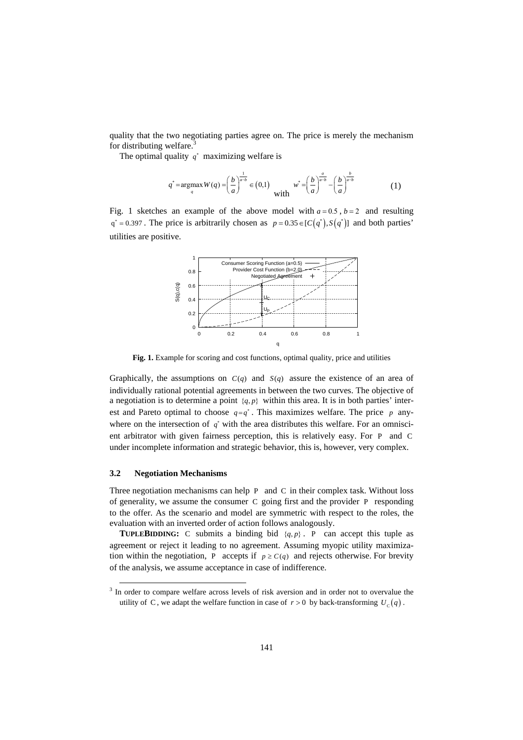quality that the two negotiating parties agree on. The price is merely the mechanism for distributing welfare.<sup>3</sup>

The optimal quality  $q^*$  maximizing welfare is

$$
q^* = \underset{q}{\text{argmax}} \, W(q) = \left(\frac{b}{a}\right)^{\frac{1}{a-b}} \in (0,1) \quad w^* = \left(\frac{b}{a}\right)^{\frac{a}{a-b}} - \left(\frac{b}{a}\right)^{\frac{b}{a-b}} \tag{1}
$$

Fig. 1 sketches an example of the above model with  $a = 0.5$ ,  $b = 2$  and resulting  $q^* = 0.397$ . The price is arbitrarily chosen as  $p = 0.35 \in [C(q^*) , S(q^*)]$  and both parties' utilities are positive.



**Fig. 1.** Example for scoring and cost functions, optimal quality, price and utilities

Graphically, the assumptions on  $C(q)$  and  $S(q)$  assure the existence of an area of individually rational potential agreements in between the two curves. The objective of a negotiation is to determine a point  $\{q, p\}$  within this area. It is in both parties' interest and Pareto optimal to choose  $q = q^*$ . This maximizes welfare. The price *p* anywhere on the intersection of  $q^*$  with the area distributes this welfare. For an omniscient arbitrator with given fairness perception, this is relatively easy. For P and C under incomplete information and strategic behavior, this is, however, very complex.

#### **3.2 Negotiation Mechanisms**

-

Three negotiation mechanisms can help P and C in their complex task. Without loss of generality, we assume the consumer C going first and the provider P responding to the offer. As the scenario and model are symmetric with respect to the roles, the evaluation with an inverted order of action follows analogously.

**TUPLEBIDDING:** C submits a binding bid  $\{q, p\}$ . P can accept this tuple as agreement or reject it leading to no agreement. Assuming myopic utility maximization within the negotiation, P accepts if  $p \geq C(q)$  and rejects otherwise. For brevity of the analysis, we assume acceptance in case of indifference.

<sup>&</sup>lt;sup>3</sup> In order to compare welfare across levels of risk aversion and in order not to overvalue the utility of C, we adapt the welfare function in case of  $r > 0$  by back-transforming  $U_c(q)$ .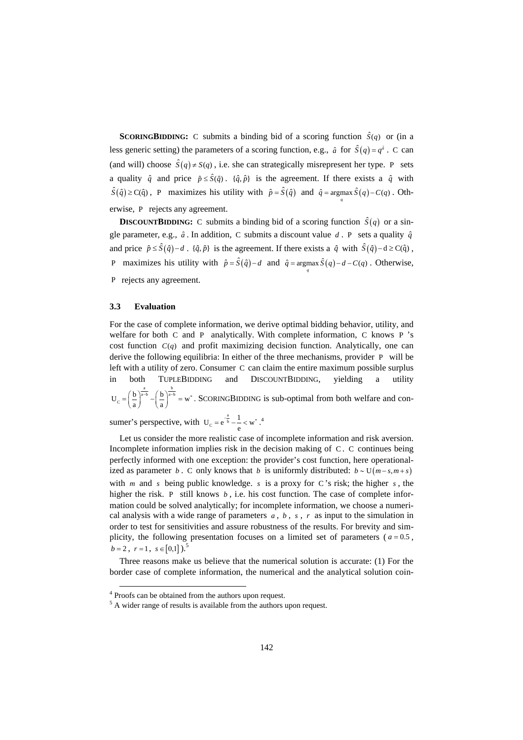**SCORINGBIDDING:** C submits a binding bid of a scoring function  $\hat{S}(q)$  or (in a less generic setting) the parameters of a scoring function, e.g.,  $\hat{a}$  for  $\hat{S}(q) = q^{\hat{a}}$ . C can (and will) choose  $\hat{S}(q) \neq S(q)$ , i.e. she can strategically misrepresent her type. P sets a quality  $\hat{q}$  and price  $\hat{p} \leq \hat{S}(\hat{q})$ .  $\{\hat{q}, \hat{p}\}$  is the agreement. If there exists a  $\hat{q}$  with  $\hat{S}(\hat{q}) \geq C(\hat{q})$ , P maximizes his utility with  $\hat{p} = \hat{S}(\hat{q})$  and  $\hat{q} = \underset{q}{\arg \max} \hat{S}(q) - C(q)$ . Otherwise, P rejects any agreement.

**DISCOUNTBIDDING:** C submits a binding bid of a scoring function  $\hat{S}(q)$  or a single parameter, e.g.,  $\hat{a}$ . In addition, C submits a discount value  $d$ . P sets a quality  $\hat{q}$ and price  $\hat{p} \leq \hat{S}(\hat{q}) - d$ .  $\{\hat{q}, \hat{p}\}$  is the agreement. If there exists a  $\hat{q}$  with  $\hat{S}(\hat{q}) - d \geq C(\hat{q})$ , P maximizes his utility with  $\hat{p} = \hat{S}(\hat{q}) - d$  and  $\hat{q} = \underset{q}{\arg \max} \hat{S}(q) - d - C(q)$ . Otherwise, P rejects any agreement.

#### **3.3 Evaluation**

For the case of complete information, we derive optimal bidding behavior, utility, and welfare for both C and P analytically. With complete information, C knows P 's cost function  $C(q)$  and profit maximizing decision function. Analytically, one can derive the following equilibria: In either of the three mechanisms, provider P will be left with a utility of zero. Consumer C can claim the entire maximum possible surplus in both TUPLEBIDDING and DISCOUNTBIDDING, yielding a utility  $U_C = \left(\frac{b}{a}\right)^{\frac{a}{a-b}} - \left(\frac{b}{a}\right)^{\frac{b}{a-b}} = w^*$  $C = \left(\frac{b}{a}\right)^{a-b} - \left(\frac{b}{a}\right)^{a-b} = w^*$ . SCORINGBIDDING is sub-optimal from both welfare and con-

sumer's perspective, with  $U_c = e^{-\frac{a}{b}} - \frac{1}{e} < w^*$  $C = e^{-\frac{a}{b}} - \frac{1}{c} < w^*$ .<sup>4</sup>

Let us consider the more realistic case of incomplete information and risk aversion. Incomplete information implies risk in the decision making of C. C continues being perfectly informed with one exception: the provider's cost function, here operationalized as parameter *b*. C only knows that *b* is uniformly distributed:  $b \sim U(m-s, m+s)$ with *m* and *s* being public knowledge. *s* is a proxy for C 's risk; the higher *s* , the higher the risk. P still knows *b*, i.e. his cost function. The case of complete information could be solved analytically; for incomplete information, we choose a numerical analysis with a wide range of parameters *a* , *b* , *s* , *r* as input to the simulation in order to test for sensitivities and assure robustness of the results. For brevity and simplicity, the following presentation focuses on a limited set of parameters ( $a = 0.5$ ,  $b = 2$ ,  $r = 1$ ,  $s \in [0,1]$ ).<sup>5</sup>

Three reasons make us believe that the numerical solution is accurate: (1) For the border case of complete information, the numerical and the analytical solution coin-

-

<sup>&</sup>lt;sup>4</sup> Proofs can be obtained from the authors upon request.

<sup>&</sup>lt;sup>5</sup> A wider range of results is available from the authors upon request.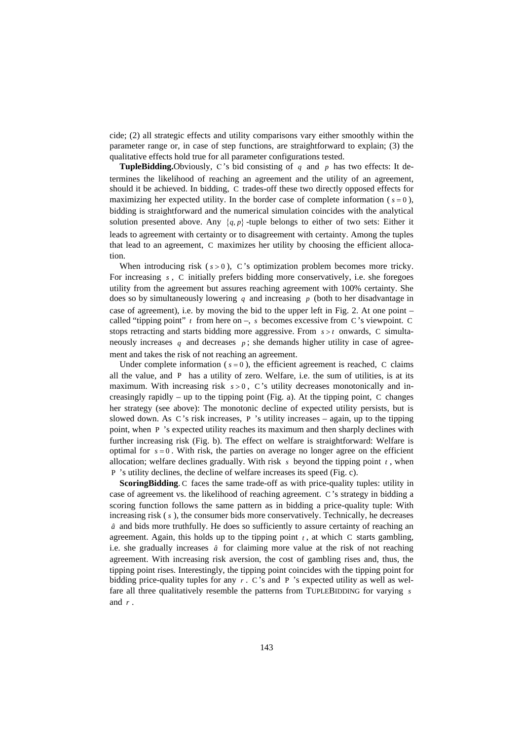cide; (2) all strategic effects and utility comparisons vary either smoothly within the parameter range or, in case of step functions, are straightforward to explain; (3) the qualitative effects hold true for all parameter configurations tested.

**TupleBidding.**Obviously, C's bid consisting of *q* and *p* has two effects: It determines the likelihood of reaching an agreement and the utility of an agreement, should it be achieved. In bidding, C trades-off these two directly opposed effects for maximizing her expected utility. In the border case of complete information ( $s = 0$ ), bidding is straightforward and the numerical simulation coincides with the analytical solution presented above. Any  $\{q, p\}$  -tuple belongs to either of two sets: Either it leads to agreement with certainty or to disagreement with certainty. Among the tuples that lead to an agreement, C maximizes her utility by choosing the efficient allocation.

When introducing risk  $(s > 0)$ , C's optimization problem becomes more tricky. For increasing *s* , C initially prefers bidding more conservatively, i.e. she foregoes utility from the agreement but assures reaching agreement with 100% certainty. She does so by simultaneously lowering *q* and increasing *p* (both to her disadvantage in case of agreement), i.e. by moving the bid to the upper left in Fig. 2. At one point – called "tipping point"  $t$  from here on  $-$ ,  $s$  becomes excessive from C's viewpoint. C stops retracting and starts bidding more aggressive. From  $s > t$  onwards, C simultaneously increases q and decreases  $p$ ; she demands higher utility in case of agreement and takes the risk of not reaching an agreement.

Under complete information ( $s = 0$ ), the efficient agreement is reached, C claims all the value, and P has a utility of zero. Welfare, i.e. the sum of utilities, is at its maximum. With increasing risk  $s > 0$ , C's utility decreases monotonically and increasingly rapidly – up to the tipping point (Fig. a). At the tipping point, C changes her strategy (see above): The monotonic decline of expected utility persists, but is slowed down. As C's risk increases, P 's utility increases – again, up to the tipping point, when P 's expected utility reaches its maximum and then sharply declines with further increasing risk (Fig. b). The effect on welfare is straightforward: Welfare is optimal for  $s = 0$ . With risk, the parties on average no longer agree on the efficient allocation; welfare declines gradually. With risk *s* beyond the tipping point *t* , when P 's utility declines, the decline of welfare increases its speed (Fig. c).

**ScoringBidding**. C faces the same trade-off as with price-quality tuples: utility in case of agreement vs. the likelihood of reaching agreement. C 's strategy in bidding a scoring function follows the same pattern as in bidding a price-quality tuple: With increasing risk ( *s* ), the consumer bids more conservatively. Technically, he decreases *a*ˆ and bids more truthfully. He does so sufficiently to assure certainty of reaching an agreement. Again, this holds up to the tipping point  $t<sub>t</sub>$ , at which C starts gambling, i.e. she gradually increases  $\hat{a}$  for claiming more value at the risk of not reaching agreement. With increasing risk aversion, the cost of gambling rises and, thus, the tipping point rises. Interestingly, the tipping point coincides with the tipping point for bidding price-quality tuples for any  $r \cdot C$ 's and P 's expected utility as well as welfare all three qualitatively resemble the patterns from TUPLEBIDDING for varying *s* and *r* .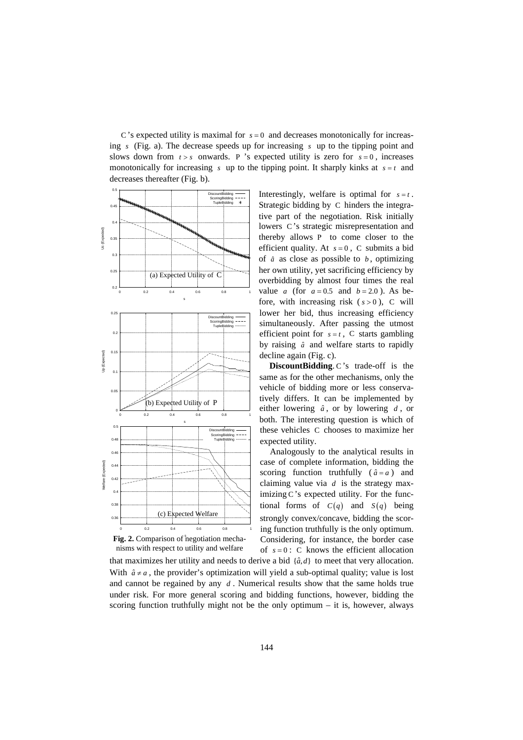C's expected utility is maximal for  $s = 0$  and decreases monotonically for increasing *s* (Fig. a). The decrease speeds up for increasing *s* up to the tipping point and slows down from  $t > s$  onwards. P 's expected utility is zero for  $s = 0$ , increases monotonically for increasing  $s$  up to the tipping point. It sharply kinks at  $s = t$  and decreases thereafter (Fig. b).





Interestingly, welfare is optimal for  $s = t$ . Strategic bidding by C hinders the integrative part of the negotiation. Risk initially lowers C 's strategic misrepresentation and thereby allows P to come closer to the efficient quality. At  $s = 0$ , C submits a bid of  $\hat{a}$  as close as possible to  $b$ , optimizing her own utility, yet sacrificing efficiency by overbidding by almost four times the real value *a* (for  $a = 0.5$  and  $b = 2.0$ ). As before, with increasing risk  $(s > 0)$ , C will lower her bid, thus increasing efficiency simultaneously. After passing the utmost efficient point for  $s = t$ , C starts gambling by raising *a*ˆ and welfare starts to rapidly decline again (Fig. c).

**DiscountBidding**. C's trade-off is the same as for the other mechanisms, only the vehicle of bidding more or less conservatively differs. It can be implemented by either lowering *a*ˆ , or by lowering *d* , or both. The interesting question is which of these vehicles C chooses to maximize her expected utility.

Analogously to the analytical results in case of complete information, bidding the scoring function truthfully  $(\hat{a} = a)$  and claiming value via *d* is the strategy maximizing C 's expected utility. For the functional forms of  $C(q)$  and  $S(q)$  being strongly convex/concave, bidding the scoring function truthfully is the only optimum. Considering, for instance, the border case of  $s = 0$ : C knows the efficient allocation

that maximizes her utility and needs to derive a bid  $\{\hat{a}, d\}$  to meet that very allocation. With  $\hat{a} \neq a$ , the provider's optimization will yield a sub-optimal quality; value is lost and cannot be regained by any  $d$ . Numerical results show that the same holds true under risk. For more general scoring and bidding functions, however, bidding the scoring function truthfully might not be the only optimum – it is, however, always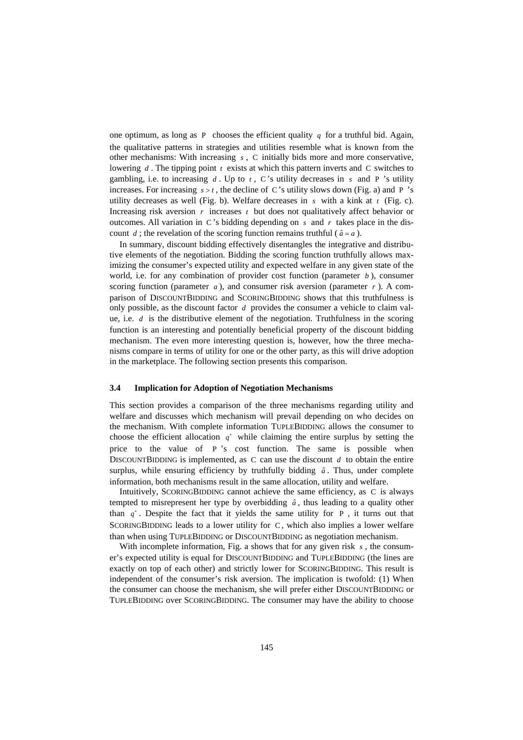one optimum, as long as P chooses the efficient quality  $q$  for a truthful bid. Again, the qualitative patterns in strategies and utilities resemble what is known from the other mechanisms: With increasing *s* , C initially bids more and more conservative, lowering *d* . The tipping point *t* exists at which this pattern inverts and C switches to gambling, i.e. to increasing  $d$ . Up to  $t$ , C's utility decreases in  $s$  and P 's utility increases. For increasing  $s > t$ , the decline of C's utility slows down (Fig. a) and P 's utility decreases as well (Fig. b). Welfare decreases in *s* with a kink at *t* (Fig. c). Increasing risk aversion *r* increases *t* but does not qualitatively affect behavior or outcomes. All variation in C's bidding depending on  $s$  and  $r$  takes place in the discount *d*; the revelation of the scoring function remains truthful ( $\hat{a} = a$ ).

In summary, discount bidding effectively disentangles the integrative and distributive elements of the negotiation. Bidding the scoring function truthfully allows maximizing the consumer's expected utility and expected welfare in any given state of the world, i.e. for any combination of provider cost function (parameter *b* ), consumer scoring function (parameter  $a$ ), and consumer risk aversion (parameter  $r$ ). A comparison of DISCOUNTBIDDING and SCORINGBIDDING shows that this truthfulness is only possible, as the discount factor *d* provides the consumer a vehicle to claim value, i.e. *d* is the distributive element of the negotiation. Truthfulness in the scoring function is an interesting and potentially beneficial property of the discount bidding mechanism. The even more interesting question is, however, how the three mechanisms compare in terms of utility for one or the other party, as this will drive adoption in the marketplace. The following section presents this comparison.

#### **3.4 Implication for Adoption of Negotiation Mechanisms**

This section provides a comparison of the three mechanisms regarding utility and welfare and discusses which mechanism will prevail depending on who decides on the mechanism. With complete information TUPLEBIDDING allows the consumer to choose the efficient allocation  $q^*$  while claiming the entire surplus by setting the price to the value of P 's cost function. The same is possible when DISCOUNTBIDDING is implemented, as C can use the discount *d* to obtain the entire surplus, while ensuring efficiency by truthfully bidding  $\hat{a}$ . Thus, under complete information, both mechanisms result in the same allocation, utility and welfare.

Intuitively, SCORINGBIDDING cannot achieve the same efficiency, as C is always tempted to misrepresent her type by overbidding  $\hat{a}$ , thus leading to a quality other than  $q^*$ . Despite the fact that it yields the same utility for P, it turns out that SCORINGBIDDING leads to a lower utility for C, which also implies a lower welfare than when using TUPLEBIDDING or DISCOUNTBIDDING as negotiation mechanism.

With incomplete information, Fig. a shows that for any given risk *s*, the consumer's expected utility is equal for DISCOUNTBIDDING and TUPLEBIDDING (the lines are exactly on top of each other) and strictly lower for SCORINGBIDDING. This result is independent of the consumer's risk aversion. The implication is twofold: (1) When the consumer can choose the mechanism, she will prefer either DISCOUNTBIDDING or TUPLEBIDDING over SCORINGBIDDING. The consumer may have the ability to choose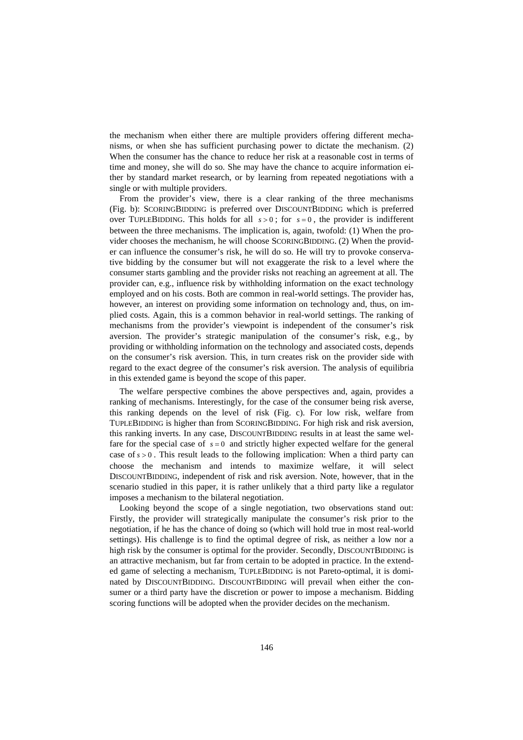the mechanism when either there are multiple providers offering different mechanisms, or when she has sufficient purchasing power to dictate the mechanism. (2) When the consumer has the chance to reduce her risk at a reasonable cost in terms of time and money, she will do so. She may have the chance to acquire information either by standard market research, or by learning from repeated negotiations with a single or with multiple providers.

From the provider's view, there is a clear ranking of the three mechanisms (Fig. b): SCORINGBIDDING is preferred over DISCOUNTBIDDING which is preferred over TUPLEBIDDING. This holds for all  $s > 0$ ; for  $s = 0$ , the provider is indifferent between the three mechanisms. The implication is, again, twofold: (1) When the provider chooses the mechanism, he will choose SCORINGBIDDING. (2) When the provider can influence the consumer's risk, he will do so. He will try to provoke conservative bidding by the consumer but will not exaggerate the risk to a level where the consumer starts gambling and the provider risks not reaching an agreement at all. The provider can, e.g., influence risk by withholding information on the exact technology employed and on his costs. Both are common in real-world settings. The provider has, however, an interest on providing some information on technology and, thus, on implied costs. Again, this is a common behavior in real-world settings. The ranking of mechanisms from the provider's viewpoint is independent of the consumer's risk aversion. The provider's strategic manipulation of the consumer's risk, e.g., by providing or withholding information on the technology and associated costs, depends on the consumer's risk aversion. This, in turn creates risk on the provider side with regard to the exact degree of the consumer's risk aversion. The analysis of equilibria in this extended game is beyond the scope of this paper.

The welfare perspective combines the above perspectives and, again, provides a ranking of mechanisms. Interestingly, for the case of the consumer being risk averse, this ranking depends on the level of risk (Fig. c). For low risk, welfare from TUPLEBIDDING is higher than from SCORINGBIDDING. For high risk and risk aversion, this ranking inverts. In any case, DISCOUNTBIDDING results in at least the same welfare for the special case of  $s = 0$  and strictly higher expected welfare for the general case of  $s > 0$ . This result leads to the following implication: When a third party can choose the mechanism and intends to maximize welfare, it will select DISCOUNTBIDDING, independent of risk and risk aversion. Note, however, that in the scenario studied in this paper, it is rather unlikely that a third party like a regulator imposes a mechanism to the bilateral negotiation.

Looking beyond the scope of a single negotiation, two observations stand out: Firstly, the provider will strategically manipulate the consumer's risk prior to the negotiation, if he has the chance of doing so (which will hold true in most real-world settings). His challenge is to find the optimal degree of risk, as neither a low nor a high risk by the consumer is optimal for the provider. Secondly, DISCOUNTBIDDING is an attractive mechanism, but far from certain to be adopted in practice. In the extended game of selecting a mechanism, TUPLEBIDDING is not Pareto-optimal, it is dominated by DISCOUNTBIDDING. DISCOUNTBIDDING will prevail when either the consumer or a third party have the discretion or power to impose a mechanism. Bidding scoring functions will be adopted when the provider decides on the mechanism.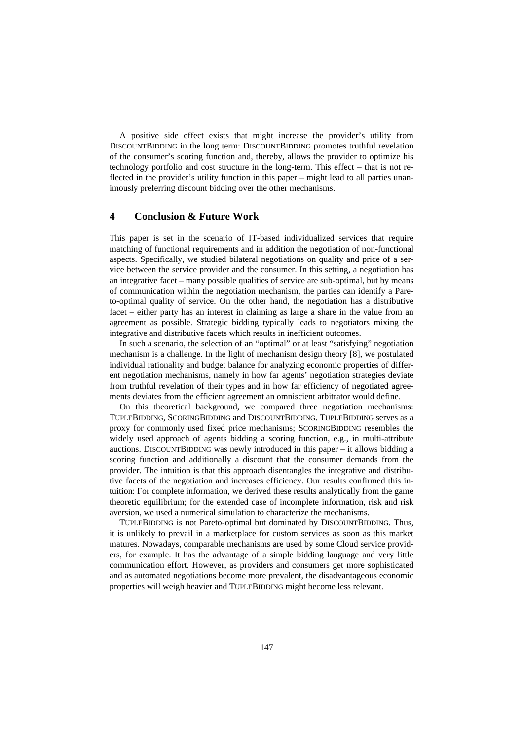A positive side effect exists that might increase the provider's utility from DISCOUNTBIDDING in the long term: DISCOUNTBIDDING promotes truthful revelation of the consumer's scoring function and, thereby, allows the provider to optimize his technology portfolio and cost structure in the long-term. This effect – that is not reflected in the provider's utility function in this paper – might lead to all parties unanimously preferring discount bidding over the other mechanisms.

## **4 Conclusion & Future Work**

This paper is set in the scenario of IT-based individualized services that require matching of functional requirements and in addition the negotiation of non-functional aspects. Specifically, we studied bilateral negotiations on quality and price of a service between the service provider and the consumer. In this setting, a negotiation has an integrative facet – many possible qualities of service are sub-optimal, but by means of communication within the negotiation mechanism, the parties can identify a Pareto-optimal quality of service. On the other hand, the negotiation has a distributive facet – either party has an interest in claiming as large a share in the value from an agreement as possible. Strategic bidding typically leads to negotiators mixing the integrative and distributive facets which results in inefficient outcomes.

In such a scenario, the selection of an "optimal" or at least "satisfying" negotiation mechanism is a challenge. In the light of mechanism design theory [8], we postulated individual rationality and budget balance for analyzing economic properties of different negotiation mechanisms, namely in how far agents' negotiation strategies deviate from truthful revelation of their types and in how far efficiency of negotiated agreements deviates from the efficient agreement an omniscient arbitrator would define.

On this theoretical background, we compared three negotiation mechanisms: TUPLEBIDDING, SCORINGBIDDING and DISCOUNTBIDDING. TUPLEBIDDING serves as a proxy for commonly used fixed price mechanisms; SCORINGBIDDING resembles the widely used approach of agents bidding a scoring function, e.g., in multi-attribute auctions. DISCOUNTBIDDING was newly introduced in this paper – it allows bidding a scoring function and additionally a discount that the consumer demands from the provider. The intuition is that this approach disentangles the integrative and distributive facets of the negotiation and increases efficiency. Our results confirmed this intuition: For complete information, we derived these results analytically from the game theoretic equilibrium; for the extended case of incomplete information, risk and risk aversion, we used a numerical simulation to characterize the mechanisms.

TUPLEBIDDING is not Pareto-optimal but dominated by DISCOUNTBIDDING. Thus, it is unlikely to prevail in a marketplace for custom services as soon as this market matures. Nowadays, comparable mechanisms are used by some Cloud service providers, for example. It has the advantage of a simple bidding language and very little communication effort. However, as providers and consumers get more sophisticated and as automated negotiations become more prevalent, the disadvantageous economic properties will weigh heavier and TUPLEBIDDING might become less relevant.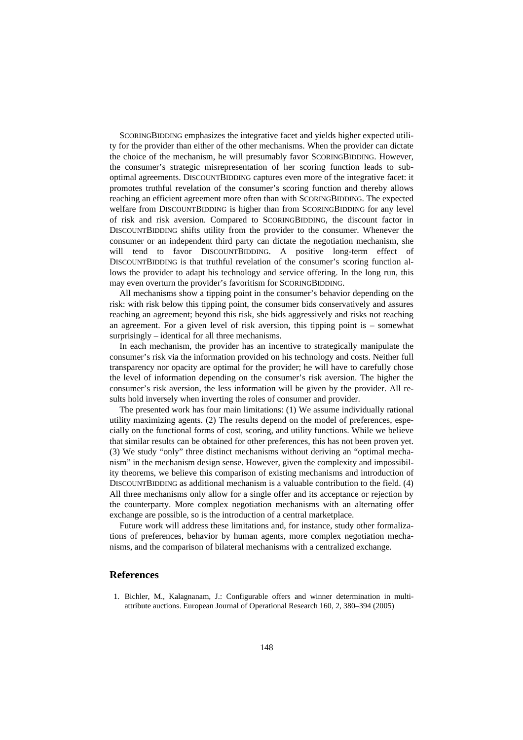SCORINGBIDDING emphasizes the integrative facet and yields higher expected utility for the provider than either of the other mechanisms. When the provider can dictate the choice of the mechanism, he will presumably favor SCORINGBIDDING. However, the consumer's strategic misrepresentation of her scoring function leads to suboptimal agreements. DISCOUNTBIDDING captures even more of the integrative facet: it promotes truthful revelation of the consumer's scoring function and thereby allows reaching an efficient agreement more often than with SCORINGBIDDING. The expected welfare from DISCOUNTBIDDING is higher than from SCORINGBIDDING for any level of risk and risk aversion. Compared to SCORINGBIDDING, the discount factor in DISCOUNTBIDDING shifts utility from the provider to the consumer. Whenever the consumer or an independent third party can dictate the negotiation mechanism, she will tend to favor DISCOUNTBIDDING. A positive long-term effect of DISCOUNTBIDDING is that truthful revelation of the consumer's scoring function allows the provider to adapt his technology and service offering. In the long run, this may even overturn the provider's favoritism for SCORINGBIDDING.

All mechanisms show a tipping point in the consumer's behavior depending on the risk: with risk below this tipping point, the consumer bids conservatively and assures reaching an agreement; beyond this risk, she bids aggressively and risks not reaching an agreement. For a given level of risk aversion, this tipping point is – somewhat surprisingly – identical for all three mechanisms.

In each mechanism, the provider has an incentive to strategically manipulate the consumer's risk via the information provided on his technology and costs. Neither full transparency nor opacity are optimal for the provider; he will have to carefully chose the level of information depending on the consumer's risk aversion. The higher the consumer's risk aversion, the less information will be given by the provider. All results hold inversely when inverting the roles of consumer and provider.

The presented work has four main limitations: (1) We assume individually rational utility maximizing agents. (2) The results depend on the model of preferences, especially on the functional forms of cost, scoring, and utility functions. While we believe that similar results can be obtained for other preferences, this has not been proven yet. (3) We study "only" three distinct mechanisms without deriving an "optimal mechanism" in the mechanism design sense. However, given the complexity and impossibility theorems, we believe this comparison of existing mechanisms and introduction of DISCOUNTBIDDING as additional mechanism is a valuable contribution to the field. (4) All three mechanisms only allow for a single offer and its acceptance or rejection by the counterparty. More complex negotiation mechanisms with an alternating offer exchange are possible, so is the introduction of a central marketplace.

Future work will address these limitations and, for instance, study other formalizations of preferences, behavior by human agents, more complex negotiation mechanisms, and the comparison of bilateral mechanisms with a centralized exchange.

## **References**

1. Bichler, M., Kalagnanam, J.: Configurable offers and winner determination in multiattribute auctions. European Journal of Operational Research 160, 2, 380–394 (2005)